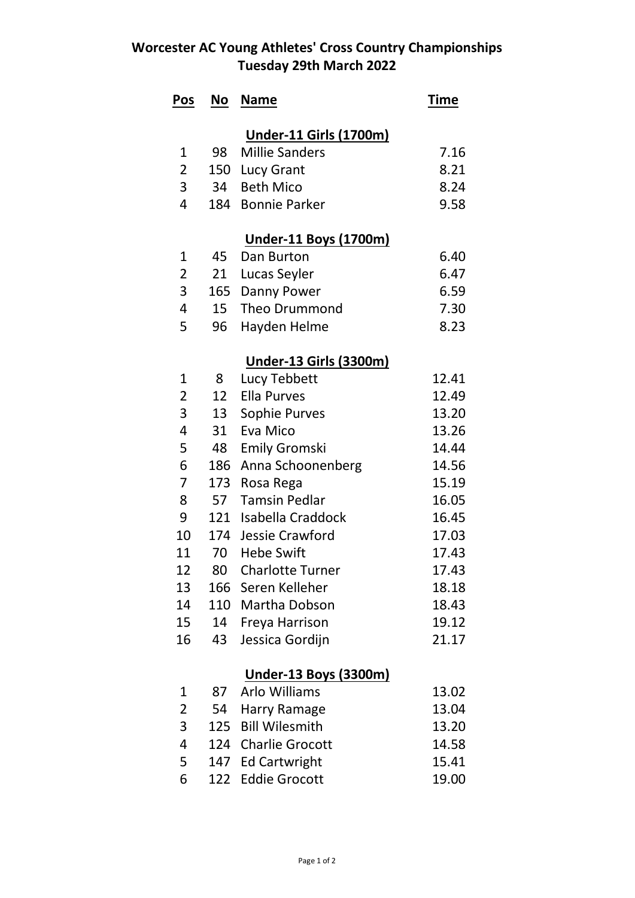## **Worcester AC Young Athletes' Cross Country Championships Tuesday 29th March 2022**

| Pos            | <b>No</b> | <b>Name</b>                   | <b>Time</b> |
|----------------|-----------|-------------------------------|-------------|
|                |           | <b>Under-11 Girls (1700m)</b> |             |
| 1              | 98        | <b>Millie Sanders</b>         | 7.16        |
| $\overline{2}$ |           | 150 Lucy Grant                | 8.21        |
| 3              | 34        | <b>Beth Mico</b>              | 8.24        |
| 4              | 184       | <b>Bonnie Parker</b>          | 9.58        |
|                |           | <b>Under-11 Boys (1700m)</b>  |             |
| 1              | 45        | Dan Burton                    | 6.40        |
| 2              | 21        | Lucas Seyler                  | 6.47        |
| 3              | 165       | Danny Power                   | 6.59        |
| 4              | 15        | <b>Theo Drummond</b>          | 7.30        |
| 5              | 96        | Hayden Helme                  | 8.23        |
|                |           | <b>Under-13 Girls (3300m)</b> |             |
| 1              | 8         | Lucy Tebbett                  | 12.41       |
| 2              | 12        | <b>Ella Purves</b>            | 12.49       |
| 3              | 13        | Sophie Purves                 | 13.20       |
| 4              | 31        | Eva Mico                      | 13.26       |
| 5              | 48        | <b>Emily Gromski</b>          | 14.44       |
| 6              | 186       | Anna Schoonenberg             | 14.56       |
| 7              | 173       | Rosa Rega                     | 15.19       |
| 8              | 57        | <b>Tamsin Pedlar</b>          | 16.05       |
| 9              |           | 121 Isabella Craddock         | 16.45       |
| 10             |           | 174 Jessie Crawford           | 17.03       |
| 11             | 70        | <b>Hebe Swift</b>             | 17.43       |
| 12             | 80        | <b>Charlotte Turner</b>       | 17.43       |
| 13             | 166       | Seren Kelleher                | 18.18       |
| 14             | 110       | Martha Dobson                 | 18.43       |
| 15             | 14        | Freya Harrison                | 19.12       |
| 16             | 43        | Jessica Gordijn               | 21.17       |
|                |           | <u>Under-13 Boys (3300m)</u>  |             |
| 1              | 87        | <b>Arlo Williams</b>          | 13.02       |
| 2              | 54        | <b>Harry Ramage</b>           | 13.04       |
| 3              | 125       | <b>Bill Wilesmith</b>         | 13.20       |
| 4              | 124       | <b>Charlie Grocott</b>        | 14.58       |
| 5              | 147       | <b>Ed Cartwright</b>          | 15.41       |
| 6              | 122       | <b>Eddie Grocott</b>          | 19.00       |